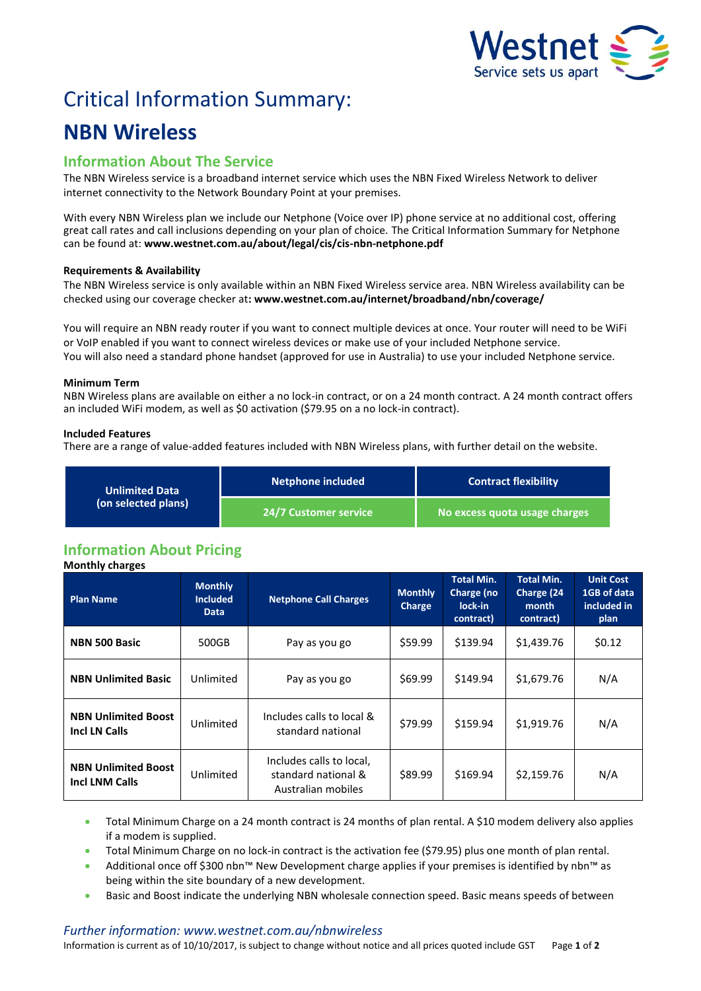

# Critical Information Summary:

## **NBN Wireless**

### **Information About The Service**

The NBN Wireless service is a broadband internet service which uses the NBN Fixed Wireless Network to deliver internet connectivity to the Network Boundary Point at your premises.

With every NBN Wireless plan we include our Netphone (Voice over IP) phone service at no additional cost, offering great call rates and call inclusions depending on your plan of choice. The Critical Information Summary for Netphone can be found at: **www.westnet.com.au/about/legal/cis/cis-nbn-netphone.pdf**

#### **Requirements & Availability**

The NBN Wireless service is only available within an NBN Fixed Wireless service area. NBN Wireless availability can be checked using our coverage checker at**: www.westnet.com.au/internet/broadband/nbn/coverage/**

You will require an NBN ready router if you want to connect multiple devices at once. Your router will need to be WiFi or VoIP enabled if you want to connect wireless devices or make use of your included Netphone service. You will also need a standard phone handset (approved for use in Australia) to use your included Netphone service.

#### **Minimum Term**

NBN Wireless plans are available on either a no lock-in contract, or on a 24 month contract. A 24 month contract offers an included WiFi modem, as well as \$0 activation (\$79.95 on a no lock-in contract).

#### **Included Features**

There are a range of value-added features included with NBN Wireless plans, with further detail on the website.

| <b>Unlimited Data</b><br>(on selected plans) | <b>Netphone included</b> | <b>Contract flexibility</b>   |  |
|----------------------------------------------|--------------------------|-------------------------------|--|
|                                              | 24/7 Customer service '  | No excess quota usage charges |  |

## **Information About Pricing**

**Monthly charges Plan Name Monthly Included Data Netphone Call Charges Monthly Charge Total Min. Charge (no lock-in contract) Total Min. Charge (24 month contract) Unit Cost 1GB of data included in plan NBN 500 Basic**  $\begin{array}{|c|c|c|c|c|c|} \hline \text{500GB} & \text{Pay as you go} & \text{559.99} & \text{5139.94} & \text{51,439.76} & \text{50.12} \\ \hline \end{array}$ **NBN Unlimited Basic** | Unlimited | Pay as you go | \$69.99 | \$149.94 | \$1,679.76 | N/A **NBN Unlimited Boost INBN Unlimited Boost** Unlimited Includes calls to local & **Includes Calls** to local & standard national  $\begin{vmatrix} 579.99 \end{vmatrix}$  \$159.94  $\begin{vmatrix} 51.919.76 \end{vmatrix}$  N/A **NBN Unlimited Boost Incl LNM Calls** Unlimited Includes calls to local, standard national & Australian mobiles  $$89.99$   $$169.94$   $$2,159.76$  N/A

- Total Minimum Charge on a 24 month contract is 24 months of plan rental. A \$10 modem delivery also applies if a modem is supplied.
- Total Minimum Charge on no lock-in contract is the activation fee (\$79.95) plus one month of plan rental.
- Additional once off \$300 nbn™ New Development charge applies if your premises is identified by nbn™ as being within the site boundary of a new development.
- Basic and Boost indicate the underlying NBN wholesale connection speed. Basic means speeds of between

#### *Further information: www.westnet.com.au/nbnwireless*

Information is current as of 10/10/2017, is subject to change without notice and all prices quoted include GST Page **1** of **2**